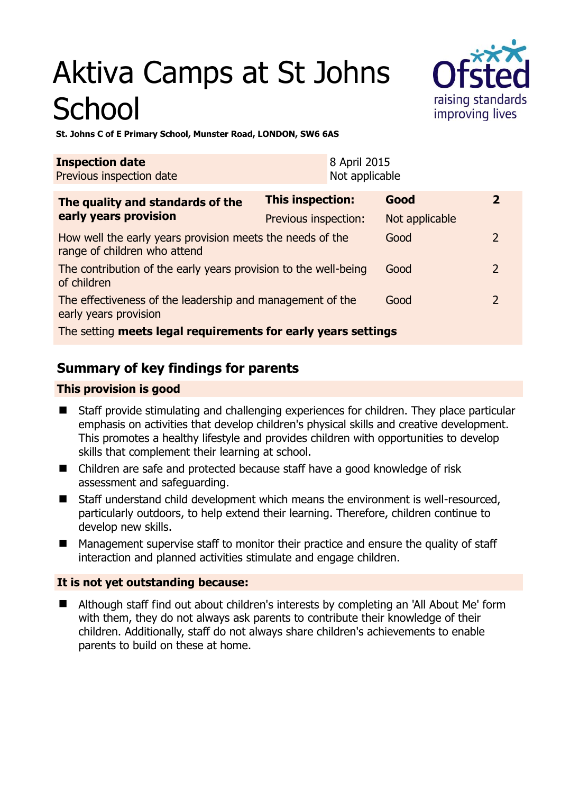# Aktiva Camps at St Johns **School**



**St. Johns C of E Primary School, Munster Road, LONDON, SW6 6AS** 

| <b>Inspection date</b><br>Previous inspection date                                        |                      | 8 April 2015<br>Not applicable |                |               |  |
|-------------------------------------------------------------------------------------------|----------------------|--------------------------------|----------------|---------------|--|
| The quality and standards of the<br>early years provision                                 | This inspection:     |                                | Good           | 2             |  |
|                                                                                           | Previous inspection: |                                | Not applicable |               |  |
| How well the early years provision meets the needs of the<br>range of children who attend |                      |                                | Good           | $\mathcal{P}$ |  |
| The contribution of the early years provision to the well-being<br>of children            |                      |                                | Good           | 2             |  |
| The effectiveness of the leadership and management of the<br>early years provision        |                      |                                | Good           | $\mathcal{P}$ |  |
| The setting meets legal requirements for early years settings                             |                      |                                |                |               |  |

# **Summary of key findings for parents**

# **This provision is good**

- Staff provide stimulating and challenging experiences for children. They place particular emphasis on activities that develop children's physical skills and creative development. This promotes a healthy lifestyle and provides children with opportunities to develop skills that complement their learning at school.
- Children are safe and protected because staff have a good knowledge of risk assessment and safeguarding.
- Staff understand child development which means the environment is well-resourced, particularly outdoors, to help extend their learning. Therefore, children continue to develop new skills.
- Management supervise staff to monitor their practice and ensure the quality of staff interaction and planned activities stimulate and engage children.

### **It is not yet outstanding because:**

 Although staff find out about children's interests by completing an 'All About Me' form with them, they do not always ask parents to contribute their knowledge of their children. Additionally, staff do not always share children's achievements to enable parents to build on these at home.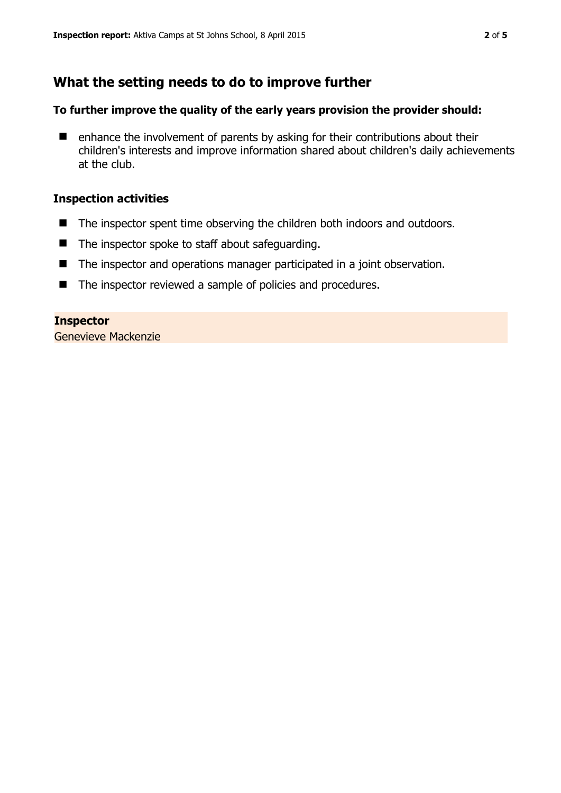# **What the setting needs to do to improve further**

#### **To further improve the quality of the early years provision the provider should:**

 $\blacksquare$  enhance the involvement of parents by asking for their contributions about their children's interests and improve information shared about children's daily achievements at the club.

#### **Inspection activities**

- The inspector spent time observing the children both indoors and outdoors.
- $\blacksquare$  The inspector spoke to staff about safeguarding.
- The inspector and operations manager participated in a joint observation.
- The inspector reviewed a sample of policies and procedures.

#### **Inspector**

Genevieve Mackenzie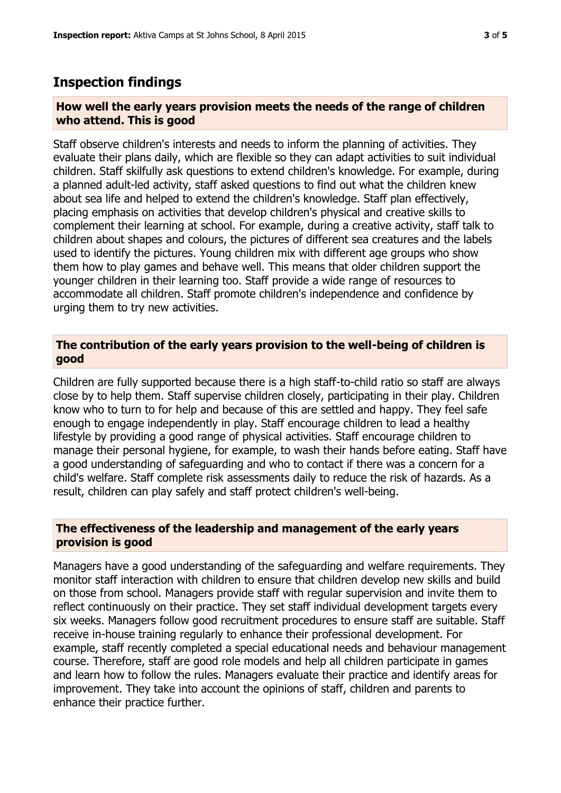# **Inspection findings**

#### **How well the early years provision meets the needs of the range of children who attend. This is good**

Staff observe children's interests and needs to inform the planning of activities. They evaluate their plans daily, which are flexible so they can adapt activities to suit individual children. Staff skilfully ask questions to extend children's knowledge. For example, during a planned adult-led activity, staff asked questions to find out what the children knew about sea life and helped to extend the children's knowledge. Staff plan effectively, placing emphasis on activities that develop children's physical and creative skills to complement their learning at school. For example, during a creative activity, staff talk to children about shapes and colours, the pictures of different sea creatures and the labels used to identify the pictures. Young children mix with different age groups who show them how to play games and behave well. This means that older children support the younger children in their learning too. Staff provide a wide range of resources to accommodate all children. Staff promote children's independence and confidence by urging them to try new activities.

#### **The contribution of the early years provision to the well-being of children is good**

Children are fully supported because there is a high staff-to-child ratio so staff are always close by to help them. Staff supervise children closely, participating in their play. Children know who to turn to for help and because of this are settled and happy. They feel safe enough to engage independently in play. Staff encourage children to lead a healthy lifestyle by providing a good range of physical activities. Staff encourage children to manage their personal hygiene, for example, to wash their hands before eating. Staff have a good understanding of safeguarding and who to contact if there was a concern for a child's welfare. Staff complete risk assessments daily to reduce the risk of hazards. As a result, children can play safely and staff protect children's well-being.

#### **The effectiveness of the leadership and management of the early years provision is good**

Managers have a good understanding of the safeguarding and welfare requirements. They monitor staff interaction with children to ensure that children develop new skills and build on those from school. Managers provide staff with regular supervision and invite them to reflect continuously on their practice. They set staff individual development targets every six weeks. Managers follow good recruitment procedures to ensure staff are suitable. Staff receive in-house training regularly to enhance their professional development. For example, staff recently completed a special educational needs and behaviour management course. Therefore, staff are good role models and help all children participate in games and learn how to follow the rules. Managers evaluate their practice and identify areas for improvement. They take into account the opinions of staff, children and parents to enhance their practice further.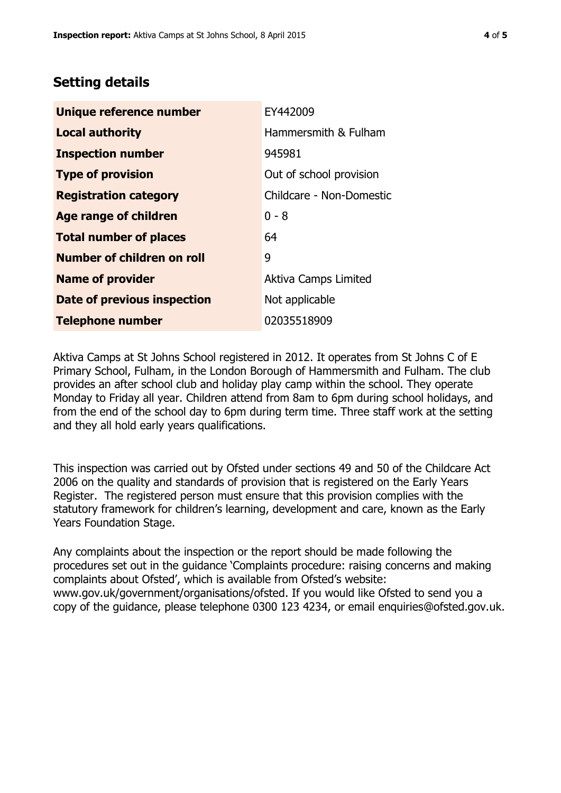# **Setting details**

| Unique reference number       | EY442009                    |  |
|-------------------------------|-----------------------------|--|
| <b>Local authority</b>        | Hammersmith & Fulham        |  |
| <b>Inspection number</b>      | 945981                      |  |
| <b>Type of provision</b>      | Out of school provision     |  |
| <b>Registration category</b>  | Childcare - Non-Domestic    |  |
| Age range of children         | $0 - 8$                     |  |
| <b>Total number of places</b> | 64                          |  |
| Number of children on roll    | 9                           |  |
| <b>Name of provider</b>       | <b>Aktiva Camps Limited</b> |  |
| Date of previous inspection   | Not applicable              |  |
| <b>Telephone number</b>       | 02035518909                 |  |

Aktiva Camps at St Johns School registered in 2012. It operates from St Johns C of E Primary School, Fulham, in the London Borough of Hammersmith and Fulham. The club provides an after school club and holiday play camp within the school. They operate Monday to Friday all year. Children attend from 8am to 6pm during school holidays, and from the end of the school day to 6pm during term time. Three staff work at the setting and they all hold early years qualifications.

This inspection was carried out by Ofsted under sections 49 and 50 of the Childcare Act 2006 on the quality and standards of provision that is registered on the Early Years Register. The registered person must ensure that this provision complies with the statutory framework for children's learning, development and care, known as the Early Years Foundation Stage.

Any complaints about the inspection or the report should be made following the procedures set out in the guidance 'Complaints procedure: raising concerns and making complaints about Ofsted', which is available from Ofsted's website: www.gov.uk/government/organisations/ofsted. If you would like Ofsted to send you a copy of the guidance, please telephone 0300 123 4234, or email enquiries@ofsted.gov.uk.